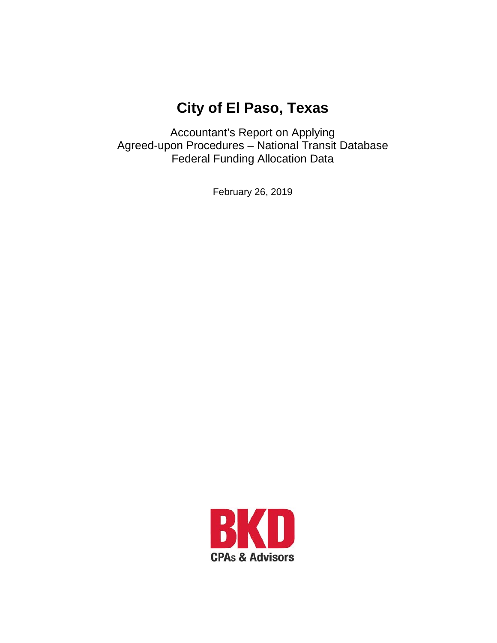# **City of El Paso, Texas**

Accountant's Report on Applying Agreed-upon Procedures – National Transit Database Federal Funding Allocation Data

February 26, 2019

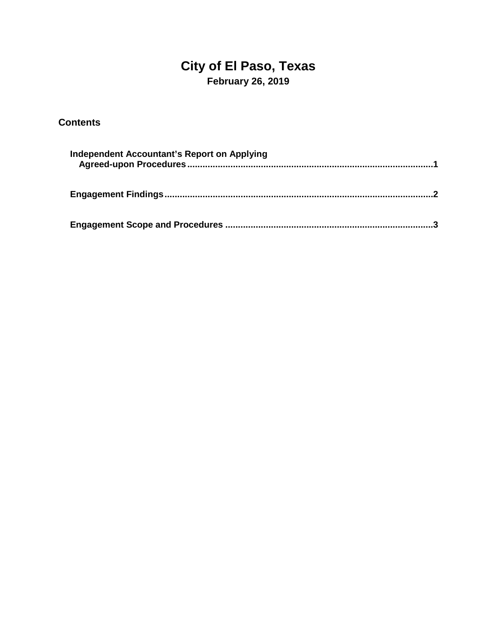# **City of El Paso, Texas February 26, 2019**

#### **Contents**

| Independent Accountant's Report on Applying |  |
|---------------------------------------------|--|
|                                             |  |
|                                             |  |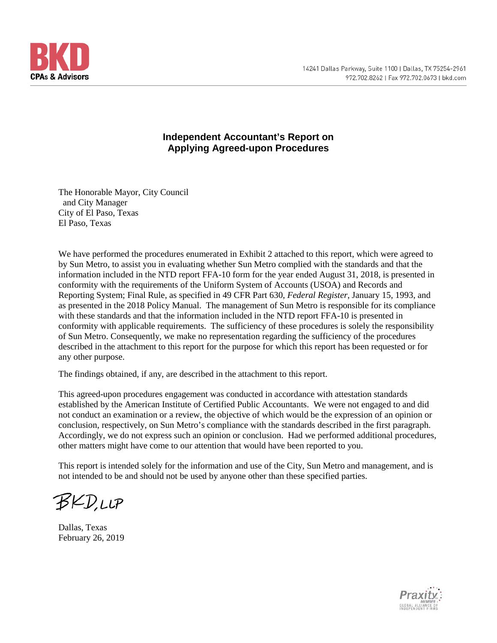

#### **Independent Accountant's Report on Applying Agreed-upon Procedures**

The Honorable Mayor, City Council and City Manager City of El Paso, Texas El Paso, Texas

We have performed the procedures enumerated in Exhibit 2 attached to this report, which were agreed to by Sun Metro, to assist you in evaluating whether Sun Metro complied with the standards and that the information included in the NTD report FFA-10 form for the year ended August 31, 2018, is presented in conformity with the requirements of the Uniform System of Accounts (USOA) and Records and Reporting System; Final Rule, as specified in 49 CFR Part 630, *Federal Register*, January 15, 1993, and as presented in the 2018 Policy Manual. The management of Sun Metro is responsible for its compliance with these standards and that the information included in the NTD report FFA-10 is presented in conformity with applicable requirements. The sufficiency of these procedures is solely the responsibility of Sun Metro. Consequently, we make no representation regarding the sufficiency of the procedures described in the attachment to this report for the purpose for which this report has been requested or for any other purpose.

The findings obtained, if any, are described in the attachment to this report.

This agreed-upon procedures engagement was conducted in accordance with attestation standards established by the American Institute of Certified Public Accountants. We were not engaged to and did not conduct an examination or a review, the objective of which would be the expression of an opinion or conclusion, respectively, on Sun Metro's compliance with the standards described in the first paragraph. Accordingly, we do not express such an opinion or conclusion. Had we performed additional procedures, other matters might have come to our attention that would have been reported to you.

This report is intended solely for the information and use of the City, Sun Metro and management, and is not intended to be and should not be used by anyone other than these specified parties.

**BKD,LLP** 

Dallas, Texas February 26, 2019

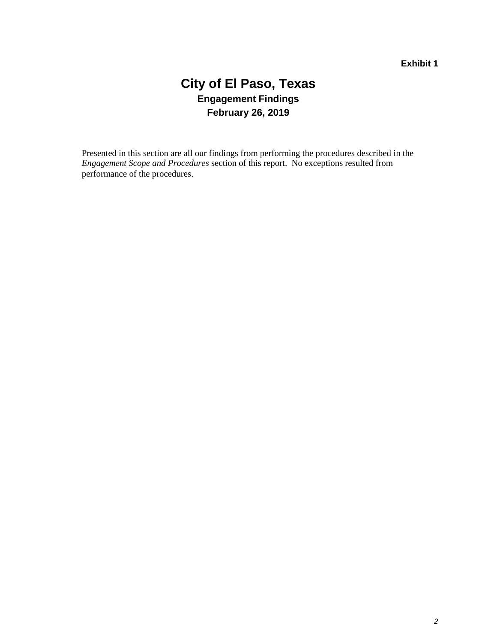### **City of El Paso, Texas Engagement Findings February 26, 2019**

Presented in this section are all our findings from performing the procedures described in the *Engagement Scope and Procedures* section of this report. No exceptions resulted from performance of the procedures.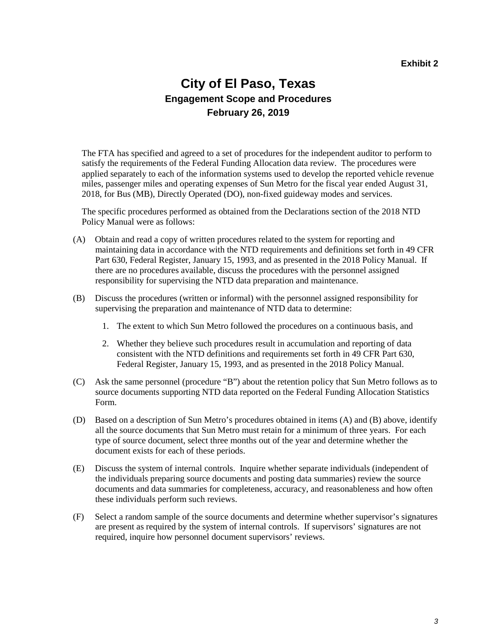### **City of El Paso, Texas Engagement Scope and Procedures February 26, 2019**

The FTA has specified and agreed to a set of procedures for the independent auditor to perform to satisfy the requirements of the Federal Funding Allocation data review. The procedures were applied separately to each of the information systems used to develop the reported vehicle revenue miles, passenger miles and operating expenses of Sun Metro for the fiscal year ended August 31, 2018, for Bus (MB), Directly Operated (DO), non-fixed guideway modes and services.

The specific procedures performed as obtained from the Declarations section of the 2018 NTD Policy Manual were as follows:

- (A) Obtain and read a copy of written procedures related to the system for reporting and maintaining data in accordance with the NTD requirements and definitions set forth in 49 CFR Part 630, Federal Register, January 15, 1993, and as presented in the 2018 Policy Manual. If there are no procedures available, discuss the procedures with the personnel assigned responsibility for supervising the NTD data preparation and maintenance.
- (B) Discuss the procedures (written or informal) with the personnel assigned responsibility for supervising the preparation and maintenance of NTD data to determine:
	- 1. The extent to which Sun Metro followed the procedures on a continuous basis, and
	- 2. Whether they believe such procedures result in accumulation and reporting of data consistent with the NTD definitions and requirements set forth in 49 CFR Part 630, Federal Register, January 15, 1993, and as presented in the 2018 Policy Manual.
- (C) Ask the same personnel (procedure "B") about the retention policy that Sun Metro follows as to source documents supporting NTD data reported on the Federal Funding Allocation Statistics Form.
- (D) Based on a description of Sun Metro's procedures obtained in items (A) and (B) above, identify all the source documents that Sun Metro must retain for a minimum of three years. For each type of source document, select three months out of the year and determine whether the document exists for each of these periods.
- (E) Discuss the system of internal controls. Inquire whether separate individuals (independent of the individuals preparing source documents and posting data summaries) review the source documents and data summaries for completeness, accuracy, and reasonableness and how often these individuals perform such reviews.
- (F) Select a random sample of the source documents and determine whether supervisor's signatures are present as required by the system of internal controls. If supervisors' signatures are not required, inquire how personnel document supervisors' reviews.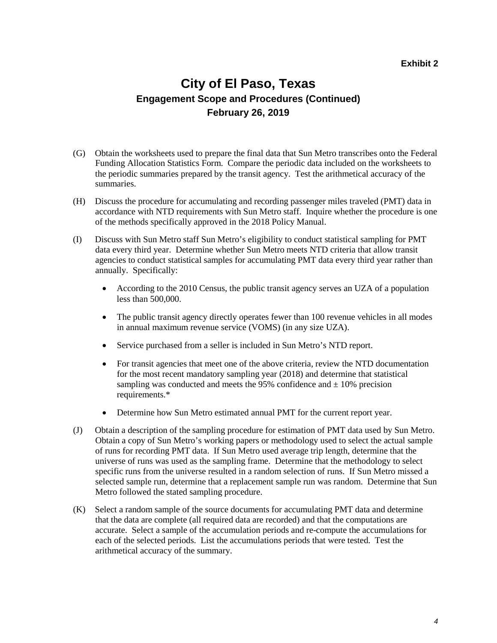#### **Exhibit 2**

### **City of El Paso, Texas Engagement Scope and Procedures (Continued) February 26, 2019**

- (G) Obtain the worksheets used to prepare the final data that Sun Metro transcribes onto the Federal Funding Allocation Statistics Form. Compare the periodic data included on the worksheets to the periodic summaries prepared by the transit agency. Test the arithmetical accuracy of the summaries.
- (H) Discuss the procedure for accumulating and recording passenger miles traveled (PMT) data in accordance with NTD requirements with Sun Metro staff. Inquire whether the procedure is one of the methods specifically approved in the 2018 Policy Manual.
- (I) Discuss with Sun Metro staff Sun Metro's eligibility to conduct statistical sampling for PMT data every third year. Determine whether Sun Metro meets NTD criteria that allow transit agencies to conduct statistical samples for accumulating PMT data every third year rather than annually. Specifically:
	- According to the 2010 Census, the public transit agency serves an UZA of a population less than 500,000.
	- The public transit agency directly operates fewer than 100 revenue vehicles in all modes in annual maximum revenue service (VOMS) (in any size UZA).
	- Service purchased from a seller is included in Sun Metro's NTD report.
	- For transit agencies that meet one of the above criteria, review the NTD documentation for the most recent mandatory sampling year (2018) and determine that statistical sampling was conducted and meets the 95% confidence and  $\pm$  10% precision requirements.\*
	- Determine how Sun Metro estimated annual PMT for the current report year.
- (J) Obtain a description of the sampling procedure for estimation of PMT data used by Sun Metro. Obtain a copy of Sun Metro's working papers or methodology used to select the actual sample of runs for recording PMT data. If Sun Metro used average trip length, determine that the universe of runs was used as the sampling frame. Determine that the methodology to select specific runs from the universe resulted in a random selection of runs. If Sun Metro missed a selected sample run, determine that a replacement sample run was random. Determine that Sun Metro followed the stated sampling procedure.
- (K) Select a random sample of the source documents for accumulating PMT data and determine that the data are complete (all required data are recorded) and that the computations are accurate. Select a sample of the accumulation periods and re-compute the accumulations for each of the selected periods. List the accumulations periods that were tested. Test the arithmetical accuracy of the summary.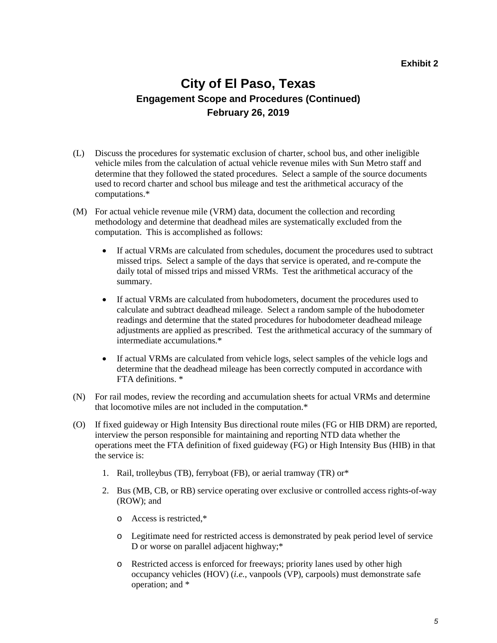#### **Exhibit 2**

### **City of El Paso, Texas Engagement Scope and Procedures (Continued) February 26, 2019**

- (L) Discuss the procedures for systematic exclusion of charter, school bus, and other ineligible vehicle miles from the calculation of actual vehicle revenue miles with Sun Metro staff and determine that they followed the stated procedures. Select a sample of the source documents used to record charter and school bus mileage and test the arithmetical accuracy of the computations.\*
- (M) For actual vehicle revenue mile (VRM) data, document the collection and recording methodology and determine that deadhead miles are systematically excluded from the computation. This is accomplished as follows:
	- If actual VRMs are calculated from schedules, document the procedures used to subtract missed trips. Select a sample of the days that service is operated, and re-compute the daily total of missed trips and missed VRMs. Test the arithmetical accuracy of the summary.
	- If actual VRMs are calculated from hubodometers, document the procedures used to calculate and subtract deadhead mileage. Select a random sample of the hubodometer readings and determine that the stated procedures for hubodometer deadhead mileage adjustments are applied as prescribed. Test the arithmetical accuracy of the summary of intermediate accumulations.\*
	- If actual VRMs are calculated from vehicle logs, select samples of the vehicle logs and determine that the deadhead mileage has been correctly computed in accordance with FTA definitions. \*
- (N) For rail modes, review the recording and accumulation sheets for actual VRMs and determine that locomotive miles are not included in the computation.\*
- (O) If fixed guideway or High Intensity Bus directional route miles (FG or HIB DRM) are reported, interview the person responsible for maintaining and reporting NTD data whether the operations meet the FTA definition of fixed guideway (FG) or High Intensity Bus (HIB) in that the service is:
	- 1. Rail, trolleybus (TB), ferryboat (FB), or aerial tramway (TR) or\*
	- 2. Bus (MB, CB, or RB) service operating over exclusive or controlled access rights-of-way (ROW); and
		- o Access is restricted,\*
		- o Legitimate need for restricted access is demonstrated by peak period level of service D or worse on parallel adjacent highway;\*
		- o Restricted access is enforced for freeways; priority lanes used by other high occupancy vehicles (HOV) (*i.e.*, vanpools (VP), carpools) must demonstrate safe operation; and \*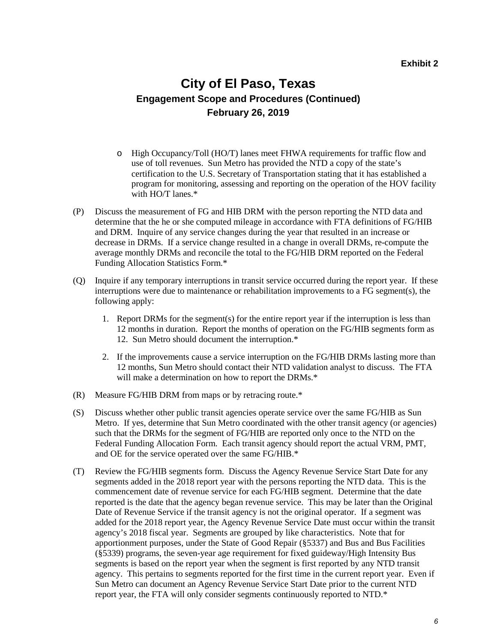#### **Exhibit 2**

### **City of El Paso, Texas Engagement Scope and Procedures (Continued) February 26, 2019**

- o High Occupancy/Toll (HO/T) lanes meet FHWA requirements for traffic flow and use of toll revenues. Sun Metro has provided the NTD a copy of the state's certification to the U.S. Secretary of Transportation stating that it has established a program for monitoring, assessing and reporting on the operation of the HOV facility with HO/T lanes.\*
- (P) Discuss the measurement of FG and HIB DRM with the person reporting the NTD data and determine that the he or she computed mileage in accordance with FTA definitions of FG/HIB and DRM. Inquire of any service changes during the year that resulted in an increase or decrease in DRMs. If a service change resulted in a change in overall DRMs, re-compute the average monthly DRMs and reconcile the total to the FG/HIB DRM reported on the Federal Funding Allocation Statistics Form.\*
- (Q) Inquire if any temporary interruptions in transit service occurred during the report year. If these interruptions were due to maintenance or rehabilitation improvements to a FG segment(s), the following apply:
	- 1. Report DRMs for the segment(s) for the entire report year if the interruption is less than 12 months in duration. Report the months of operation on the FG/HIB segments form as 12. Sun Metro should document the interruption.\*
	- 2. If the improvements cause a service interruption on the FG/HIB DRMs lasting more than 12 months, Sun Metro should contact their NTD validation analyst to discuss. The FTA will make a determination on how to report the DRMs.<sup>\*</sup>
- (R) Measure FG/HIB DRM from maps or by retracing route.\*
- (S) Discuss whether other public transit agencies operate service over the same FG/HIB as Sun Metro. If yes, determine that Sun Metro coordinated with the other transit agency (or agencies) such that the DRMs for the segment of FG/HIB are reported only once to the NTD on the Federal Funding Allocation Form. Each transit agency should report the actual VRM, PMT, and OE for the service operated over the same FG/HIB.\*
- (T) Review the FG/HIB segments form. Discuss the Agency Revenue Service Start Date for any segments added in the 2018 report year with the persons reporting the NTD data. This is the commencement date of revenue service for each FG/HIB segment. Determine that the date reported is the date that the agency began revenue service. This may be later than the Original Date of Revenue Service if the transit agency is not the original operator. If a segment was added for the 2018 report year, the Agency Revenue Service Date must occur within the transit agency's 2018 fiscal year. Segments are grouped by like characteristics. Note that for apportionment purposes, under the State of Good Repair (§5337) and Bus and Bus Facilities (§5339) programs, the seven-year age requirement for fixed guideway/High Intensity Bus segments is based on the report year when the segment is first reported by any NTD transit agency. This pertains to segments reported for the first time in the current report year. Even if Sun Metro can document an Agency Revenue Service Start Date prior to the current NTD report year, the FTA will only consider segments continuously reported to NTD.\*